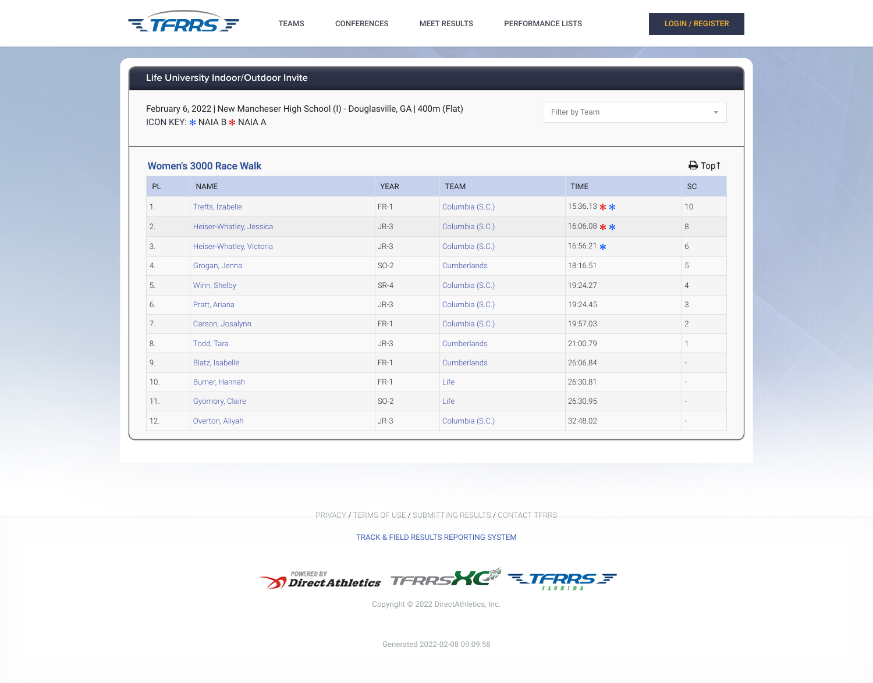February 6, 2022 | New Mancheser High School (I) - Douglasville, GA | 400m (Flat) ICON KEY:  $*$  NAIA B  $*$  NAIA A

Filter by Team

## Women's 3000 Race Walk  $\blacksquare$  Top↑

| PL  | <b>NAME</b>              | <b>YEAR</b> | <b>TEAM</b>     | <b>TIME</b>      | <b>SC</b>      |
|-----|--------------------------|-------------|-----------------|------------------|----------------|
| 1.  | Trefts, Izabelle         | FR-1        | Columbia (S.C.) | 15:36.13 $*$ *   | 10             |
| 2.  | Heiser-Whatley, Jessica  | $JR-3$      | Columbia (S.C.) | 16:06.08 $*$ $*$ | $8\,$          |
| 3.  | Heiser-Whatley, Victoria | $JR-3$      | Columbia (S.C.) | 16:56.21 $\star$ | $6\,$          |
| 4.  | Grogan, Jenna            | $SO-2$      | Cumberlands     | 18:16.51         | 5              |
| 5.  | Winn, Shelby             | SR-4        | Columbia (S.C.) | 19:24.27         | $\overline{4}$ |
| 6.  | Pratt, Ariana            | $JR-3$      | Columbia (S.C.) | 19:24.45         | 3              |
| 7.  | Carson, Josalynn         | FR-1        | Columbia (S.C.) | 19:57.03         | $\mathbf{2}$   |
| 8.  | Todd, Tara               | $JR-3$      | Cumberlands     | 21:00.79         |                |
| 9.  | Blatz, Isabelle          | FR-1        | Cumberlands     | 26:06.84         |                |
| 10. | Burner, Hannah           | $FR-1$      | Life            | 26:30.81         |                |
| 11. | Gyomory, Claire          | $SO-2$      | Life            | 26:30.95         |                |
| 12. | Overton, Aliyah          | $JR-3$      | Columbia (S.C.) | 32:48.02         |                |

 $\overline{\mathbf{v}}$